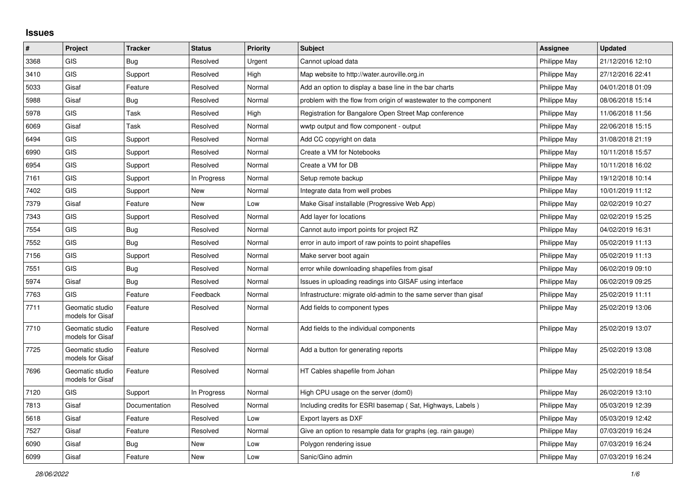## **Issues**

| $\vert$ # | Project                             | <b>Tracker</b> | <b>Status</b> | <b>Priority</b> | <b>Subject</b>                                                   | Assignee     | <b>Updated</b>   |
|-----------|-------------------------------------|----------------|---------------|-----------------|------------------------------------------------------------------|--------------|------------------|
| 3368      | <b>GIS</b>                          | Bug            | Resolved      | Urgent          | Cannot upload data                                               | Philippe May | 21/12/2016 12:10 |
| 3410      | <b>GIS</b>                          | Support        | Resolved      | High            | Map website to http://water.auroville.org.in                     | Philippe May | 27/12/2016 22:41 |
| 5033      | Gisaf                               | Feature        | Resolved      | Normal          | Add an option to display a base line in the bar charts           | Philippe May | 04/01/2018 01:09 |
| 5988      | Gisaf                               | Bug            | Resolved      | Normal          | problem with the flow from origin of wastewater to the component | Philippe May | 08/06/2018 15:14 |
| 5978      | <b>GIS</b>                          | Task           | Resolved      | High            | Registration for Bangalore Open Street Map conference            | Philippe May | 11/06/2018 11:56 |
| 6069      | Gisaf                               | Task           | Resolved      | Normal          | wwtp output and flow component - output                          | Philippe May | 22/06/2018 15:15 |
| 6494      | <b>GIS</b>                          | Support        | Resolved      | Normal          | Add CC copyright on data                                         | Philippe May | 31/08/2018 21:19 |
| 6990      | <b>GIS</b>                          | Support        | Resolved      | Normal          | Create a VM for Notebooks                                        | Philippe May | 10/11/2018 15:57 |
| 6954      | <b>GIS</b>                          | Support        | Resolved      | Normal          | Create a VM for DB                                               | Philippe May | 10/11/2018 16:02 |
| 7161      | GIS                                 | Support        | In Progress   | Normal          | Setup remote backup                                              | Philippe May | 19/12/2018 10:14 |
| 7402      | <b>GIS</b>                          | Support        | New           | Normal          | Integrate data from well probes                                  | Philippe May | 10/01/2019 11:12 |
| 7379      | Gisaf                               | Feature        | New           | Low             | Make Gisaf installable (Progressive Web App)                     | Philippe May | 02/02/2019 10:27 |
| 7343      | <b>GIS</b>                          | Support        | Resolved      | Normal          | Add layer for locations                                          | Philippe May | 02/02/2019 15:25 |
| 7554      | <b>GIS</b>                          | Bug            | Resolved      | Normal          | Cannot auto import points for project RZ                         | Philippe May | 04/02/2019 16:31 |
| 7552      | GIS                                 | <b>Bug</b>     | Resolved      | Normal          | error in auto import of raw points to point shapefiles           | Philippe May | 05/02/2019 11:13 |
| 7156      | <b>GIS</b>                          | Support        | Resolved      | Normal          | Make server boot again                                           | Philippe May | 05/02/2019 11:13 |
| 7551      | <b>GIS</b>                          | Bug            | Resolved      | Normal          | error while downloading shapefiles from gisaf                    | Philippe May | 06/02/2019 09:10 |
| 5974      | Gisaf                               | Bug            | Resolved      | Normal          | Issues in uploading readings into GISAF using interface          | Philippe May | 06/02/2019 09:25 |
| 7763      | <b>GIS</b>                          | Feature        | Feedback      | Normal          | Infrastructure: migrate old-admin to the same server than gisaf  | Philippe May | 25/02/2019 11:11 |
| 7711      | Geomatic studio<br>models for Gisaf | Feature        | Resolved      | Normal          | Add fields to component types                                    | Philippe May | 25/02/2019 13:06 |
| 7710      | Geomatic studio<br>models for Gisaf | Feature        | Resolved      | Normal          | Add fields to the individual components                          | Philippe May | 25/02/2019 13:07 |
| 7725      | Geomatic studio<br>models for Gisaf | Feature        | Resolved      | Normal          | Add a button for generating reports                              | Philippe May | 25/02/2019 13:08 |
| 7696      | Geomatic studio<br>models for Gisaf | Feature        | Resolved      | Normal          | HT Cables shapefile from Johan                                   | Philippe May | 25/02/2019 18:54 |
| 7120      | <b>GIS</b>                          | Support        | In Progress   | Normal          | High CPU usage on the server (dom0)                              | Philippe May | 26/02/2019 13:10 |
| 7813      | Gisaf                               | Documentation  | Resolved      | Normal          | Including credits for ESRI basemap (Sat, Highways, Labels)       | Philippe May | 05/03/2019 12:39 |
| 5618      | Gisaf                               | Feature        | Resolved      | Low             | Export layers as DXF                                             | Philippe May | 05/03/2019 12:42 |
| 7527      | Gisaf                               | Feature        | Resolved      | Normal          | Give an option to resample data for graphs (eg. rain gauge)      | Philippe May | 07/03/2019 16:24 |
| 6090      | Gisaf                               | <b>Bug</b>     | New           | Low             | Polygon rendering issue                                          | Philippe May | 07/03/2019 16:24 |
| 6099      | Gisaf                               | Feature        | New           | Low             | Sanic/Gino admin                                                 | Philippe May | 07/03/2019 16:24 |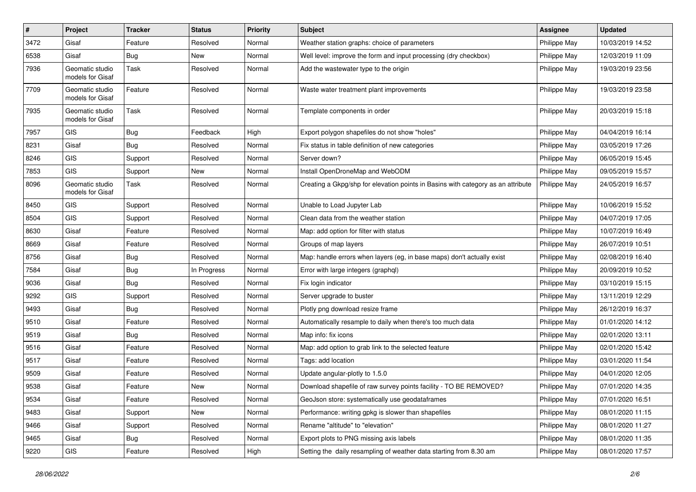| #    | Project                             | <b>Tracker</b> | <b>Status</b> | <b>Priority</b> | <b>Subject</b>                                                                   | <b>Assignee</b> | <b>Updated</b>   |
|------|-------------------------------------|----------------|---------------|-----------------|----------------------------------------------------------------------------------|-----------------|------------------|
| 3472 | Gisaf                               | Feature        | Resolved      | Normal          | Weather station graphs: choice of parameters                                     | Philippe May    | 10/03/2019 14:52 |
| 6538 | Gisaf                               | Bug            | <b>New</b>    | Normal          | Well level: improve the form and input processing (dry checkbox)                 | Philippe May    | 12/03/2019 11:09 |
| 7936 | Geomatic studio<br>models for Gisaf | Task           | Resolved      | Normal          | Add the wastewater type to the origin                                            | Philippe May    | 19/03/2019 23:56 |
| 7709 | Geomatic studio<br>models for Gisaf | Feature        | Resolved      | Normal          | Waste water treatment plant improvements                                         | Philippe May    | 19/03/2019 23:58 |
| 7935 | Geomatic studio<br>models for Gisaf | Task           | Resolved      | Normal          | Template components in order                                                     | Philippe May    | 20/03/2019 15:18 |
| 7957 | GIS                                 | Bug            | Feedback      | High            | Export polygon shapefiles do not show "holes"                                    | Philippe May    | 04/04/2019 16:14 |
| 8231 | Gisaf                               | Bug            | Resolved      | Normal          | Fix status in table definition of new categories                                 | Philippe May    | 03/05/2019 17:26 |
| 8246 | <b>GIS</b>                          | Support        | Resolved      | Normal          | Server down?                                                                     | Philippe May    | 06/05/2019 15:45 |
| 7853 | GIS                                 | Support        | New           | Normal          | Install OpenDroneMap and WebODM                                                  | Philippe May    | 09/05/2019 15:57 |
| 8096 | Geomatic studio<br>models for Gisaf | Task           | Resolved      | Normal          | Creating a Gkpg/shp for elevation points in Basins with category as an attribute | Philippe May    | 24/05/2019 16:57 |
| 8450 | GIS                                 | Support        | Resolved      | Normal          | Unable to Load Jupyter Lab                                                       | Philippe May    | 10/06/2019 15:52 |
| 8504 | GIS                                 | Support        | Resolved      | Normal          | Clean data from the weather station                                              | Philippe May    | 04/07/2019 17:05 |
| 8630 | Gisaf                               | Feature        | Resolved      | Normal          | Map: add option for filter with status                                           | Philippe May    | 10/07/2019 16:49 |
| 8669 | Gisaf                               | Feature        | Resolved      | Normal          | Groups of map layers                                                             | Philippe May    | 26/07/2019 10:51 |
| 8756 | Gisaf                               | <b>Bug</b>     | Resolved      | Normal          | Map: handle errors when layers (eg, in base maps) don't actually exist           | Philippe May    | 02/08/2019 16:40 |
| 7584 | Gisaf                               | <b>Bug</b>     | In Progress   | Normal          | Error with large integers (graphql)                                              | Philippe May    | 20/09/2019 10:52 |
| 9036 | Gisaf                               | Bug            | Resolved      | Normal          | Fix login indicator                                                              | Philippe May    | 03/10/2019 15:15 |
| 9292 | GIS                                 | Support        | Resolved      | Normal          | Server upgrade to buster                                                         | Philippe May    | 13/11/2019 12:29 |
| 9493 | Gisaf                               | Bug            | Resolved      | Normal          | Plotly png download resize frame                                                 | Philippe May    | 26/12/2019 16:37 |
| 9510 | Gisaf                               | Feature        | Resolved      | Normal          | Automatically resample to daily when there's too much data                       | Philippe May    | 01/01/2020 14:12 |
| 9519 | Gisaf                               | <b>Bug</b>     | Resolved      | Normal          | Map info: fix icons                                                              | Philippe May    | 02/01/2020 13:11 |
| 9516 | Gisaf                               | Feature        | Resolved      | Normal          | Map: add option to grab link to the selected feature                             | Philippe May    | 02/01/2020 15:42 |
| 9517 | Gisaf                               | Feature        | Resolved      | Normal          | Tags: add location                                                               | Philippe May    | 03/01/2020 11:54 |
| 9509 | Gisaf                               | Feature        | Resolved      | Normal          | Update angular-plotly to 1.5.0                                                   | Philippe May    | 04/01/2020 12:05 |
| 9538 | Gisaf                               | Feature        | New           | Normal          | Download shapefile of raw survey points facility - TO BE REMOVED?                | Philippe May    | 07/01/2020 14:35 |
| 9534 | Gisaf                               | Feature        | Resolved      | Normal          | GeoJson store: systematically use geodataframes                                  | Philippe May    | 07/01/2020 16:51 |
| 9483 | Gisaf                               | Support        | New           | Normal          | Performance: writing gpkg is slower than shapefiles                              | Philippe May    | 08/01/2020 11:15 |
| 9466 | Gisaf                               | Support        | Resolved      | Normal          | Rename "altitude" to "elevation"                                                 | Philippe May    | 08/01/2020 11:27 |
| 9465 | Gisaf                               | <b>Bug</b>     | Resolved      | Normal          | Export plots to PNG missing axis labels                                          | Philippe May    | 08/01/2020 11:35 |
| 9220 | GIS                                 | Feature        | Resolved      | High            | Setting the daily resampling of weather data starting from 8.30 am               | Philippe May    | 08/01/2020 17:57 |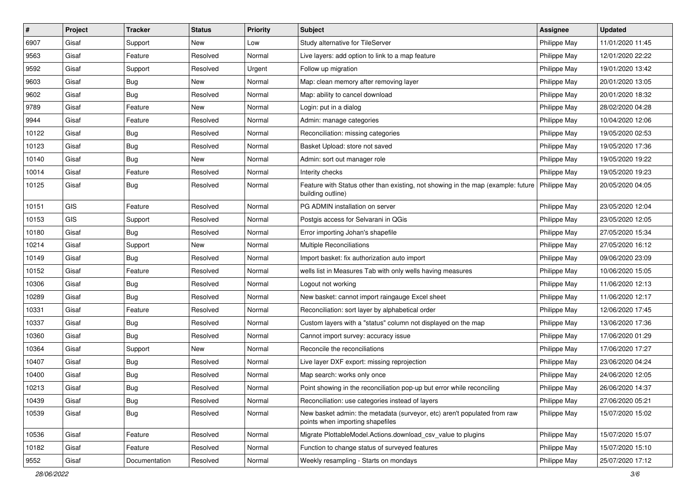| $\sharp$ | Project    | <b>Tracker</b> | <b>Status</b> | <b>Priority</b> | Subject                                                                                                              | <b>Assignee</b> | <b>Updated</b>   |
|----------|------------|----------------|---------------|-----------------|----------------------------------------------------------------------------------------------------------------------|-----------------|------------------|
| 6907     | Gisaf      | Support        | New           | Low             | Study alternative for TileServer                                                                                     | Philippe May    | 11/01/2020 11:45 |
| 9563     | Gisaf      | Feature        | Resolved      | Normal          | Live layers: add option to link to a map feature                                                                     | Philippe May    | 12/01/2020 22:22 |
| 9592     | Gisaf      | Support        | Resolved      | Urgent          | Follow up migration                                                                                                  | Philippe May    | 19/01/2020 13:42 |
| 9603     | Gisaf      | <b>Bug</b>     | New           | Normal          | Map: clean memory after removing layer                                                                               | Philippe May    | 20/01/2020 13:05 |
| 9602     | Gisaf      | Bug            | Resolved      | Normal          | Map: ability to cancel download                                                                                      | Philippe May    | 20/01/2020 18:32 |
| 9789     | Gisaf      | Feature        | New           | Normal          | Login: put in a dialog                                                                                               | Philippe May    | 28/02/2020 04:28 |
| 9944     | Gisaf      | Feature        | Resolved      | Normal          | Admin: manage categories                                                                                             | Philippe May    | 10/04/2020 12:06 |
| 10122    | Gisaf      | <b>Bug</b>     | Resolved      | Normal          | Reconciliation: missing categories                                                                                   | Philippe May    | 19/05/2020 02:53 |
| 10123    | Gisaf      | <b>Bug</b>     | Resolved      | Normal          | Basket Upload: store not saved                                                                                       | Philippe May    | 19/05/2020 17:36 |
| 10140    | Gisaf      | Bug            | <b>New</b>    | Normal          | Admin: sort out manager role                                                                                         | Philippe May    | 19/05/2020 19:22 |
| 10014    | Gisaf      | Feature        | Resolved      | Normal          | Interity checks                                                                                                      | Philippe May    | 19/05/2020 19:23 |
| 10125    | Gisaf      | <b>Bug</b>     | Resolved      | Normal          | Feature with Status other than existing, not showing in the map (example: future   Philippe May<br>building outline) |                 | 20/05/2020 04:05 |
| 10151    | <b>GIS</b> | Feature        | Resolved      | Normal          | PG ADMIN installation on server                                                                                      | Philippe May    | 23/05/2020 12:04 |
| 10153    | <b>GIS</b> | Support        | Resolved      | Normal          | Postgis access for Selvarani in QGis                                                                                 | Philippe May    | 23/05/2020 12:05 |
| 10180    | Gisaf      | Bug            | Resolved      | Normal          | Error importing Johan's shapefile                                                                                    | Philippe May    | 27/05/2020 15:34 |
| 10214    | Gisaf      | Support        | <b>New</b>    | Normal          | Multiple Reconciliations                                                                                             | Philippe May    | 27/05/2020 16:12 |
| 10149    | Gisaf      | Bug            | Resolved      | Normal          | Import basket: fix authorization auto import                                                                         | Philippe May    | 09/06/2020 23:09 |
| 10152    | Gisaf      | Feature        | Resolved      | Normal          | wells list in Measures Tab with only wells having measures                                                           | Philippe May    | 10/06/2020 15:05 |
| 10306    | Gisaf      | <b>Bug</b>     | Resolved      | Normal          | Logout not working                                                                                                   | Philippe May    | 11/06/2020 12:13 |
| 10289    | Gisaf      | Bug            | Resolved      | Normal          | New basket: cannot import raingauge Excel sheet                                                                      | Philippe May    | 11/06/2020 12:17 |
| 10331    | Gisaf      | Feature        | Resolved      | Normal          | Reconciliation: sort layer by alphabetical order                                                                     | Philippe May    | 12/06/2020 17:45 |
| 10337    | Gisaf      | Bug            | Resolved      | Normal          | Custom layers with a "status" column not displayed on the map                                                        | Philippe May    | 13/06/2020 17:36 |
| 10360    | Gisaf      | <b>Bug</b>     | Resolved      | Normal          | Cannot import survey: accuracy issue                                                                                 | Philippe May    | 17/06/2020 01:29 |
| 10364    | Gisaf      | Support        | New           | Normal          | Reconcile the reconciliations                                                                                        | Philippe May    | 17/06/2020 17:27 |
| 10407    | Gisaf      | <b>Bug</b>     | Resolved      | Normal          | Live layer DXF export: missing reprojection                                                                          | Philippe May    | 23/06/2020 04:24 |
| 10400    | Gisaf      | Bug            | Resolved      | Normal          | Map search: works only once                                                                                          | Philippe May    | 24/06/2020 12:05 |
| 10213    | Gisaf      | <b>Bug</b>     | Resolved      | Normal          | Point showing in the reconciliation pop-up but error while reconciling                                               | Philippe May    | 26/06/2020 14:37 |
| 10439    | Gisaf      | Bug            | Resolved      | Normal          | Reconciliation: use categories instead of layers                                                                     | Philippe May    | 27/06/2020 05:21 |
| 10539    | Gisaf      | <b>Bug</b>     | Resolved      | Normal          | New basket admin: the metadata (surveyor, etc) aren't populated from raw<br>points when importing shapefiles         | Philippe May    | 15/07/2020 15:02 |
| 10536    | Gisaf      | Feature        | Resolved      | Normal          | Migrate PlottableModel.Actions.download csv value to plugins                                                         | Philippe May    | 15/07/2020 15:07 |
| 10182    | Gisaf      | Feature        | Resolved      | Normal          | Function to change status of surveyed features                                                                       | Philippe May    | 15/07/2020 15:10 |
| 9552     | Gisaf      | Documentation  | Resolved      | Normal          | Weekly resampling - Starts on mondays                                                                                | Philippe May    | 25/07/2020 17:12 |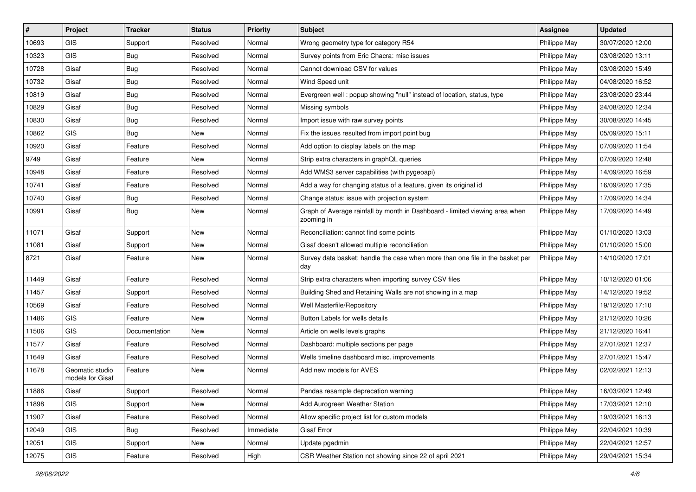| #     | Project                             | <b>Tracker</b> | <b>Status</b> | Priority  | <b>Subject</b>                                                                            | <b>Assignee</b> | <b>Updated</b>   |
|-------|-------------------------------------|----------------|---------------|-----------|-------------------------------------------------------------------------------------------|-----------------|------------------|
| 10693 | GIS                                 | Support        | Resolved      | Normal    | Wrong geometry type for category R54                                                      | Philippe May    | 30/07/2020 12:00 |
| 10323 | <b>GIS</b>                          | <b>Bug</b>     | Resolved      | Normal    | Survey points from Eric Chacra: misc issues                                               | Philippe May    | 03/08/2020 13:11 |
| 10728 | Gisaf                               | <b>Bug</b>     | Resolved      | Normal    | Cannot download CSV for values                                                            | Philippe May    | 03/08/2020 15:49 |
| 10732 | Gisaf                               | <b>Bug</b>     | Resolved      | Normal    | Wind Speed unit                                                                           | Philippe May    | 04/08/2020 16:52 |
| 10819 | Gisaf                               | Bug            | Resolved      | Normal    | Evergreen well: popup showing "null" instead of location, status, type                    | Philippe May    | 23/08/2020 23:44 |
| 10829 | Gisaf                               | <b>Bug</b>     | Resolved      | Normal    | Missing symbols                                                                           | Philippe May    | 24/08/2020 12:34 |
| 10830 | Gisaf                               | <b>Bug</b>     | Resolved      | Normal    | Import issue with raw survey points                                                       | Philippe May    | 30/08/2020 14:45 |
| 10862 | GIS                                 | Bug            | New           | Normal    | Fix the issues resulted from import point bug                                             | Philippe May    | 05/09/2020 15:11 |
| 10920 | Gisaf                               | Feature        | Resolved      | Normal    | Add option to display labels on the map                                                   | Philippe May    | 07/09/2020 11:54 |
| 9749  | Gisaf                               | Feature        | New           | Normal    | Strip extra characters in graphQL queries                                                 | Philippe May    | 07/09/2020 12:48 |
| 10948 | Gisaf                               | Feature        | Resolved      | Normal    | Add WMS3 server capabilities (with pygeoapi)                                              | Philippe May    | 14/09/2020 16:59 |
| 10741 | Gisaf                               | Feature        | Resolved      | Normal    | Add a way for changing status of a feature, given its original id                         | Philippe May    | 16/09/2020 17:35 |
| 10740 | Gisaf                               | <b>Bug</b>     | Resolved      | Normal    | Change status: issue with projection system                                               | Philippe May    | 17/09/2020 14:34 |
| 10991 | Gisaf                               | Bug            | New           | Normal    | Graph of Average rainfall by month in Dashboard - limited viewing area when<br>zooming in | Philippe May    | 17/09/2020 14:49 |
| 11071 | Gisaf                               | Support        | New           | Normal    | Reconciliation: cannot find some points                                                   | Philippe May    | 01/10/2020 13:03 |
| 11081 | Gisaf                               | Support        | New           | Normal    | Gisaf doesn't allowed multiple reconciliation                                             | Philippe May    | 01/10/2020 15:00 |
| 8721  | Gisaf                               | Feature        | New           | Normal    | Survey data basket: handle the case when more than one file in the basket per<br>day      | Philippe May    | 14/10/2020 17:01 |
| 11449 | Gisaf                               | Feature        | Resolved      | Normal    | Strip extra characters when importing survey CSV files                                    | Philippe May    | 10/12/2020 01:06 |
| 11457 | Gisaf                               | Support        | Resolved      | Normal    | Building Shed and Retaining Walls are not showing in a map                                | Philippe May    | 14/12/2020 19:52 |
| 10569 | Gisaf                               | Feature        | Resolved      | Normal    | Well Masterfile/Repository                                                                | Philippe May    | 19/12/2020 17:10 |
| 11486 | GIS                                 | Feature        | New           | Normal    | Button Labels for wells details                                                           | Philippe May    | 21/12/2020 10:26 |
| 11506 | <b>GIS</b>                          | Documentation  | New           | Normal    | Article on wells levels graphs                                                            | Philippe May    | 21/12/2020 16:41 |
| 11577 | Gisaf                               | Feature        | Resolved      | Normal    | Dashboard: multiple sections per page                                                     | Philippe May    | 27/01/2021 12:37 |
| 11649 | Gisaf                               | Feature        | Resolved      | Normal    | Wells timeline dashboard misc. improvements                                               | Philippe May    | 27/01/2021 15:47 |
| 11678 | Geomatic studio<br>models for Gisaf | Feature        | New           | Normal    | Add new models for AVES                                                                   | Philippe May    | 02/02/2021 12:13 |
| 11886 | Gisaf                               | Support        | Resolved      | Normal    | Pandas resample deprecation warning                                                       | Philippe May    | 16/03/2021 12:49 |
| 11898 | <b>GIS</b>                          | Support        | New           | Normal    | Add Aurogreen Weather Station                                                             | Philippe May    | 17/03/2021 12:10 |
| 11907 | Gisaf                               | Feature        | Resolved      | Normal    | Allow specific project list for custom models                                             | Philippe May    | 19/03/2021 16:13 |
| 12049 | GIS                                 | Bug            | Resolved      | Immediate | Gisaf Error                                                                               | Philippe May    | 22/04/2021 10:39 |
| 12051 | GIS                                 | Support        | New           | Normal    | Update pgadmin                                                                            | Philippe May    | 22/04/2021 12:57 |
| 12075 | GIS                                 | Feature        | Resolved      | High      | CSR Weather Station not showing since 22 of april 2021                                    | Philippe May    | 29/04/2021 15:34 |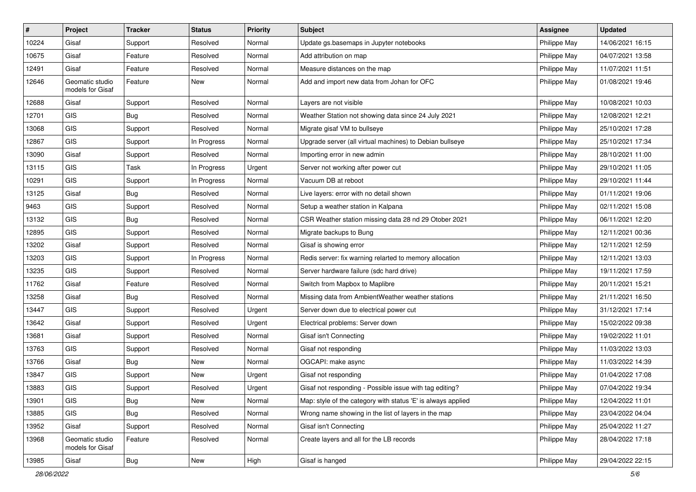| #     | Project                             | <b>Tracker</b> | <b>Status</b> | <b>Priority</b> | Subject                                                      | <b>Assignee</b> | <b>Updated</b>   |
|-------|-------------------------------------|----------------|---------------|-----------------|--------------------------------------------------------------|-----------------|------------------|
| 10224 | Gisaf                               | Support        | Resolved      | Normal          | Update gs.basemaps in Jupyter notebooks                      | Philippe May    | 14/06/2021 16:15 |
| 10675 | Gisaf                               | Feature        | Resolved      | Normal          | Add attribution on map                                       | Philippe May    | 04/07/2021 13:58 |
| 12491 | Gisaf                               | Feature        | Resolved      | Normal          | Measure distances on the map                                 | Philippe May    | 11/07/2021 11:51 |
| 12646 | Geomatic studio<br>models for Gisaf | Feature        | New           | Normal          | Add and import new data from Johan for OFC                   | Philippe May    | 01/08/2021 19:46 |
| 12688 | Gisaf                               | Support        | Resolved      | Normal          | Layers are not visible                                       | Philippe May    | 10/08/2021 10:03 |
| 12701 | GIS                                 | <b>Bug</b>     | Resolved      | Normal          | Weather Station not showing data since 24 July 2021          | Philippe May    | 12/08/2021 12:21 |
| 13068 | GIS                                 | Support        | Resolved      | Normal          | Migrate gisaf VM to bullseye                                 | Philippe May    | 25/10/2021 17:28 |
| 12867 | GIS                                 | Support        | In Progress   | Normal          | Upgrade server (all virtual machines) to Debian bullseye     | Philippe May    | 25/10/2021 17:34 |
| 13090 | Gisaf                               | Support        | Resolved      | Normal          | Importing error in new admin                                 | Philippe May    | 28/10/2021 11:00 |
| 13115 | <b>GIS</b>                          | Task           | In Progress   | Urgent          | Server not working after power cut                           | Philippe May    | 29/10/2021 11:05 |
| 10291 | GIS                                 | Support        | In Progress   | Normal          | Vacuum DB at reboot                                          | Philippe May    | 29/10/2021 11:44 |
| 13125 | Gisaf                               | Bug            | Resolved      | Normal          | Live layers: error with no detail shown                      | Philippe May    | 01/11/2021 19:06 |
| 9463  | GIS                                 | Support        | Resolved      | Normal          | Setup a weather station in Kalpana                           | Philippe May    | 02/11/2021 15:08 |
| 13132 | GIS                                 | <b>Bug</b>     | Resolved      | Normal          | CSR Weather station missing data 28 nd 29 Otober 2021        | Philippe May    | 06/11/2021 12:20 |
| 12895 | GIS                                 | Support        | Resolved      | Normal          | Migrate backups to Bung                                      | Philippe May    | 12/11/2021 00:36 |
| 13202 | Gisaf                               | Support        | Resolved      | Normal          | Gisaf is showing error                                       | Philippe May    | 12/11/2021 12:59 |
| 13203 | GIS                                 | Support        | In Progress   | Normal          | Redis server: fix warning relarted to memory allocation      | Philippe May    | 12/11/2021 13:03 |
| 13235 | GIS                                 | Support        | Resolved      | Normal          | Server hardware failure (sdc hard drive)                     | Philippe May    | 19/11/2021 17:59 |
| 11762 | Gisaf                               | Feature        | Resolved      | Normal          | Switch from Mapbox to Maplibre                               | Philippe May    | 20/11/2021 15:21 |
| 13258 | Gisaf                               | <b>Bug</b>     | Resolved      | Normal          | Missing data from AmbientWeather weather stations            | Philippe May    | 21/11/2021 16:50 |
| 13447 | GIS                                 | Support        | Resolved      | Urgent          | Server down due to electrical power cut                      | Philippe May    | 31/12/2021 17:14 |
| 13642 | Gisaf                               | Support        | Resolved      | Urgent          | Electrical problems: Server down                             | Philippe May    | 15/02/2022 09:38 |
| 13681 | Gisaf                               | Support        | Resolved      | Normal          | Gisaf isn't Connecting                                       | Philippe May    | 19/02/2022 11:01 |
| 13763 | GIS                                 | Support        | Resolved      | Normal          | Gisaf not responding                                         | Philippe May    | 11/03/2022 13:03 |
| 13766 | Gisaf                               | Bug            | New           | Normal          | OGCAPI: make async                                           | Philippe May    | 11/03/2022 14:39 |
| 13847 | GIS                                 | Support        | New           | Urgent          | Gisaf not responding                                         | Philippe May    | 01/04/2022 17:08 |
| 13883 | GIS                                 | Support        | Resolved      | Urgent          | Gisaf not responding - Possible issue with tag editing?      | Philippe May    | 07/04/2022 19:34 |
| 13901 | GIS                                 | <b>Bug</b>     | New           | Normal          | Map: style of the category with status 'E' is always applied | Philippe May    | 12/04/2022 11:01 |
| 13885 | GIS                                 | <b>Bug</b>     | Resolved      | Normal          | Wrong name showing in the list of layers in the map          | Philippe May    | 23/04/2022 04:04 |
| 13952 | Gisaf                               | Support        | Resolved      | Normal          | Gisaf isn't Connecting                                       | Philippe May    | 25/04/2022 11:27 |
| 13968 | Geomatic studio<br>models for Gisaf | Feature        | Resolved      | Normal          | Create layers and all for the LB records                     | Philippe May    | 28/04/2022 17:18 |
| 13985 | Gisaf                               | Bug            | New           | High            | Gisaf is hanged                                              | Philippe May    | 29/04/2022 22:15 |